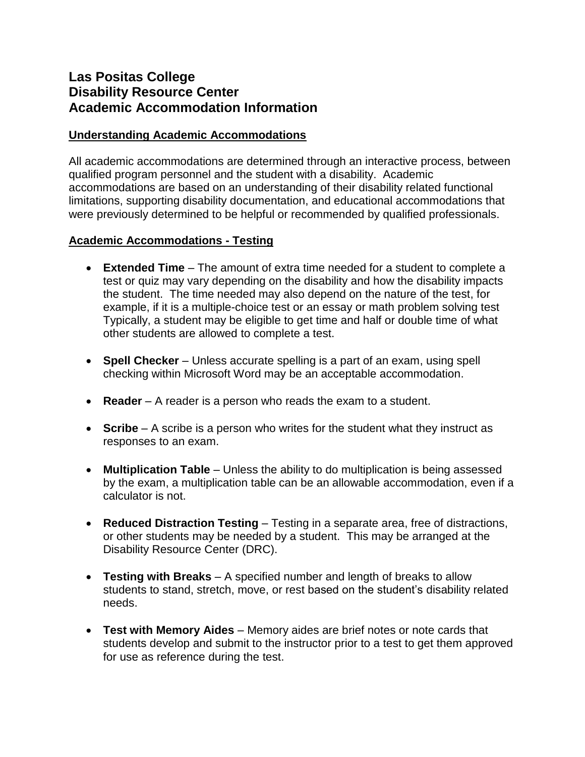# **Las Positas College Disability Resource Center Academic Accommodation Information**

#### **Understanding Academic Accommodations**

All academic accommodations are determined through an interactive process, between qualified program personnel and the student with a disability. Academic accommodations are based on an understanding of their disability related functional limitations, supporting disability documentation, and educational accommodations that were previously determined to be helpful or recommended by qualified professionals.

## **Academic Accommodations - Testing**

- **Extended Time** The amount of extra time needed for a student to complete a test or quiz may vary depending on the disability and how the disability impacts the student. The time needed may also depend on the nature of the test, for example, if it is a multiple-choice test or an essay or math problem solving test Typically, a student may be eligible to get time and half or double time of what other students are allowed to complete a test.
- **Spell Checker** Unless accurate spelling is a part of an exam, using spell checking within Microsoft Word may be an acceptable accommodation.
- **Reader** A reader is a person who reads the exam to a student.
- **Scribe** A scribe is a person who writes for the student what they instruct as responses to an exam.
- **Multiplication Table** Unless the ability to do multiplication is being assessed by the exam, a multiplication table can be an allowable accommodation, even if a calculator is not.
- **Reduced Distraction Testing** Testing in a separate area, free of distractions, or other students may be needed by a student. This may be arranged at the Disability Resource Center (DRC).
- **Testing with Breaks** A specified number and length of breaks to allow students to stand, stretch, move, or rest based on the student's disability related needs.
- **Test with Memory Aides** Memory aides are brief notes or note cards that students develop and submit to the instructor prior to a test to get them approved for use as reference during the test.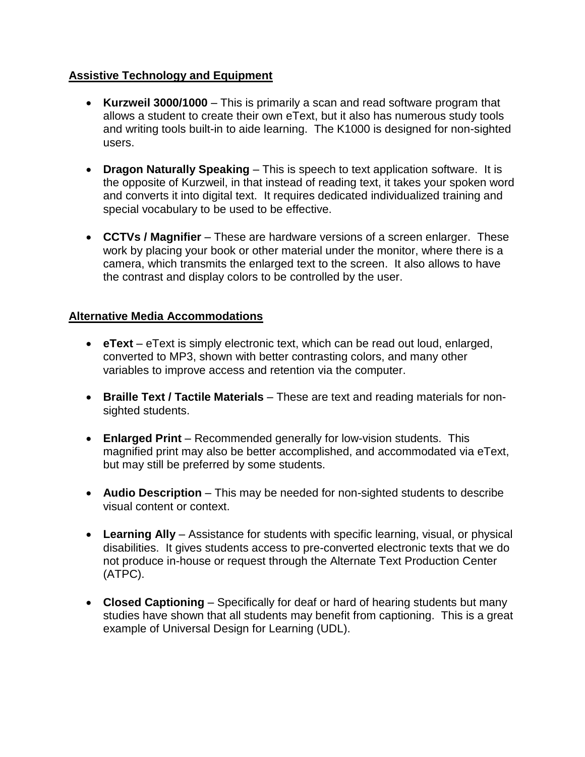# **Assistive Technology and Equipment**

- **Kurzweil 3000/1000** This is primarily a scan and read software program that allows a student to create their own eText, but it also has numerous study tools and writing tools built-in to aide learning. The K1000 is designed for non-sighted users.
- **Dragon Naturally Speaking** This is speech to text application software. It is the opposite of Kurzweil, in that instead of reading text, it takes your spoken word and converts it into digital text. It requires dedicated individualized training and special vocabulary to be used to be effective.
- **CCTVs / Magnifier** These are hardware versions of a screen enlarger. These work by placing your book or other material under the monitor, where there is a camera, which transmits the enlarged text to the screen. It also allows to have the contrast and display colors to be controlled by the user.

## **Alternative Media Accommodations**

- **eText** eText is simply electronic text, which can be read out loud, enlarged, converted to MP3, shown with better contrasting colors, and many other variables to improve access and retention via the computer.
- **Braille Text / Tactile Materials** These are text and reading materials for nonsighted students.
- **Enlarged Print** Recommended generally for low-vision students. This magnified print may also be better accomplished, and accommodated via eText, but may still be preferred by some students.
- **Audio Description** This may be needed for non-sighted students to describe visual content or context.
- **Learning Ally** Assistance for students with specific learning, visual, or physical disabilities. It gives students access to pre-converted electronic texts that we do not produce in-house or request through the Alternate Text Production Center (ATPC).
- **Closed Captioning** Specifically for deaf or hard of hearing students but many studies have shown that all students may benefit from captioning. This is a great example of Universal Design for Learning (UDL).